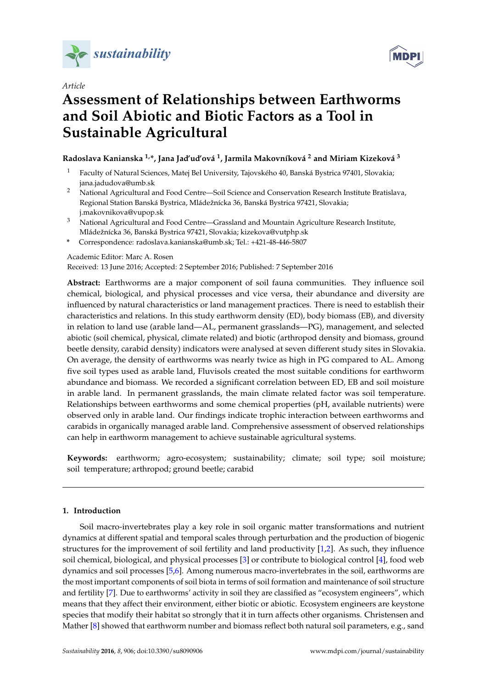

*Article*



# **Assessment of Relationships between Earthworms and Soil Abiotic and Biotic Factors as a Tool in Sustainable Agricultural**

## **Radoslava Kanianska 1,\*, Jana Jad'ud'ová <sup>1</sup> , Jarmila Makovníková <sup>2</sup> and Miriam Kizeková <sup>3</sup>**

- <sup>1</sup> Faculty of Natural Sciences, Matej Bel University, Tajovského 40, Banská Bystrica 97401, Slovakia; jana.jadudova@umb.sk
- <sup>2</sup> National Agricultural and Food Centre—Soil Science and Conservation Research Institute Bratislava, Regional Station Banská Bystrica, Mládežnícka 36, Banská Bystrica 97421, Slovakia; j.makovnikova@vupop.sk
- <sup>3</sup> National Agricultural and Food Centre—Grassland and Mountain Agriculture Research Institute, Mládežnícka 36, Banská Bystrica 97421, Slovakia; kizekova@vutphp.sk
- **\*** Correspondence: radoslava.kanianska@umb.sk; Tel.: +421-48-446-5807

### Academic Editor: Marc A. Rosen

Received: 13 June 2016; Accepted: 2 September 2016; Published: 7 September 2016

**Abstract:** Earthworms are a major component of soil fauna communities. They influence soil chemical, biological, and physical processes and vice versa, their abundance and diversity are influenced by natural characteristics or land management practices. There is need to establish their characteristics and relations. In this study earthworm density (ED), body biomass (EB), and diversity in relation to land use (arable land—AL, permanent grasslands—PG), management, and selected abiotic (soil chemical, physical, climate related) and biotic (arthropod density and biomass, ground beetle density, carabid density) indicators were analysed at seven different study sites in Slovakia. On average, the density of earthworms was nearly twice as high in PG compared to AL. Among five soil types used as arable land, Fluvisols created the most suitable conditions for earthworm abundance and biomass. We recorded a significant correlation between ED, EB and soil moisture in arable land. In permanent grasslands, the main climate related factor was soil temperature. Relationships between earthworms and some chemical properties (pH, available nutrients) were observed only in arable land. Our findings indicate trophic interaction between earthworms and carabids in organically managed arable land. Comprehensive assessment of observed relationships can help in earthworm management to achieve sustainable agricultural systems.

**Keywords:** earthworm; agro-ecosystem; sustainability; climate; soil type; soil moisture; soil temperature; arthropod; ground beetle; carabid

## **1. Introduction**

Soil macro-invertebrates play a key role in soil organic matter transformations and nutrient dynamics at different spatial and temporal scales through perturbation and the production of biogenic structures for the improvement of soil fertility and land productivity [\[1,](#page-11-0)[2\]](#page-11-1). As such, they influence soil chemical, biological, and physical processes [\[3\]](#page-11-2) or contribute to biological control [\[4\]](#page-11-3), food web dynamics and soil processes [\[5](#page-11-4)[,6\]](#page-11-5). Among numerous macro-invertebrates in the soil, earthworms are the most important components of soil biota in terms of soil formation and maintenance of soil structure and fertility [\[7\]](#page-11-6). Due to earthworms' activity in soil they are classified as "ecosystem engineers", which means that they affect their environment, either biotic or abiotic. Ecosystem engineers are keystone species that modify their habitat so strongly that it in turn affects other organisms. Christensen and Mather [\[8\]](#page-11-7) showed that earthworm number and biomass reflect both natural soil parameters, e.g., sand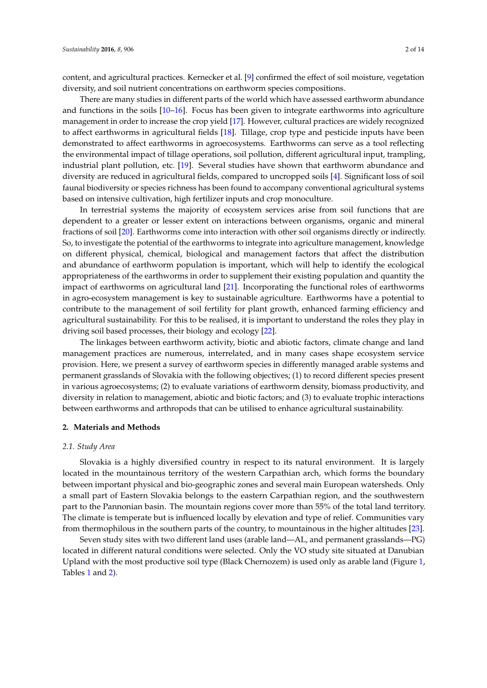content, and agricultural practices. Kernecker et al. [\[9\]](#page-11-8) confirmed the effect of soil moisture, vegetation diversity, and soil nutrient concentrations on earthworm species compositions.

There are many studies in different parts of the world which have assessed earthworm abundance and functions in the soils [\[10](#page-11-9)[–16\]](#page-11-10). Focus has been given to integrate earthworms into agriculture management in order to increase the crop yield [\[17\]](#page-11-11). However, cultural practices are widely recognized to affect earthworms in agricultural fields [\[18\]](#page-11-12). Tillage, crop type and pesticide inputs have been demonstrated to affect earthworms in agroecosystems. Earthworms can serve as a tool reflecting the environmental impact of tillage operations, soil pollution, different agricultural input, trampling, industrial plant pollution, etc. [\[19\]](#page-11-13). Several studies have shown that earthworm abundance and diversity are reduced in agricultural fields, compared to uncropped soils [\[4\]](#page-11-3). Significant loss of soil faunal biodiversity or species richness has been found to accompany conventional agricultural systems based on intensive cultivation, high fertilizer inputs and crop monoculture.

In terrestrial systems the majority of ecosystem services arise from soil functions that are dependent to a greater or lesser extent on interactions between organisms, organic and mineral fractions of soil [\[20\]](#page-11-14). Earthworms come into interaction with other soil organisms directly or indirectly. So, to investigate the potential of the earthworms to integrate into agriculture management, knowledge on different physical, chemical, biological and management factors that affect the distribution and abundance of earthworm population is important, which will help to identify the ecological appropriateness of the earthworms in order to supplement their existing population and quantity the impact of earthworms on agricultural land [\[21\]](#page-11-15). Incorporating the functional roles of earthworms in agro-ecosystem management is key to sustainable agriculture. Earthworms have a potential to contribute to the management of soil fertility for plant growth, enhanced farming efficiency and agricultural sustainability. For this to be realised, it is important to understand the roles they play in driving soil based processes, their biology and ecology [\[22\]](#page-11-16).

The linkages between earthworm activity, biotic and abiotic factors, climate change and land management practices are numerous, interrelated, and in many cases shape ecosystem service provision. Here, we present a survey of earthworm species in differently managed arable systems and permanent grasslands of Slovakia with the following objectives; (1) to record different species present in various agroecosystems; (2) to evaluate variations of earthworm density, biomass productivity, and diversity in relation to management, abiotic and biotic factors; and (3) to evaluate trophic interactions between earthworms and arthropods that can be utilised to enhance agricultural sustainability.

#### **2. Materials and Methods**

#### *2.1. Study Area*

Slovakia is a highly diversified country in respect to its natural environment. It is largely located in the mountainous territory of the western Carpathian arch, which forms the boundary between important physical and bio-geographic zones and several main European watersheds. Only a small part of Eastern Slovakia belongs to the eastern Carpathian region, and the southwestern part to the Pannonian basin. The mountain regions cover more than 55% of the total land territory. The climate is temperate but is influenced locally by elevation and type of relief. Communities vary from thermophilous in the southern parts of the country, to mountainous in the higher altitudes [\[23\]](#page-12-0).

Seven study sites with two different land uses (arable land—AL, and permanent grasslands—PG) located in different natural conditions were selected. Only the VO study site situated at Danubian Upland with the most productive soil type (Black Chernozem) is used only as arable land (Figure [1,](#page-2-0) Tables [1](#page-2-1) and [2\)](#page-2-2).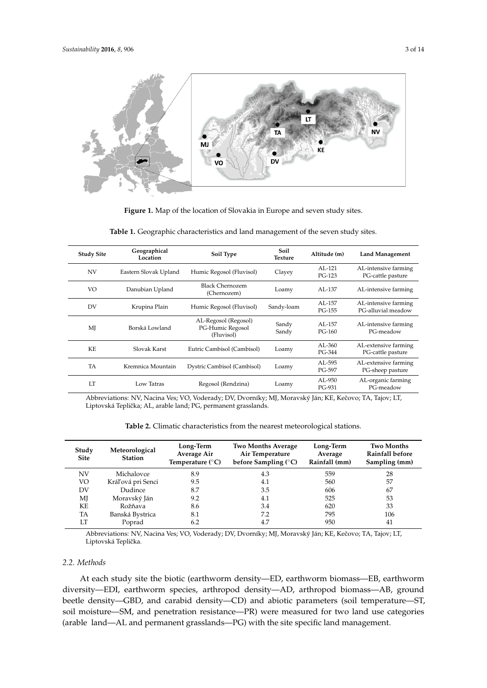<span id="page-2-0"></span>

**Figure 1.** Map of the location of Slovakia in Europe and seven study sites. **Figure 1.** Map of the location of Slovakia in Europe and seven study sites.

<span id="page-2-1"></span>

| <b>Study Site</b> | Geographical<br>Location | Soil Type                                              | Soil.<br><b>Texture</b> | Altitude (m)           | <b>Land Management</b>                     |
|-------------------|--------------------------|--------------------------------------------------------|-------------------------|------------------------|--------------------------------------------|
| <b>NV</b>         | Eastern Slovak Upland    | Humic Regosol (Fluvisol)                               | Clayey                  | $AI - 121$<br>$PG-123$ | AL-intensive farming<br>PG-cattle pasture  |
| VO                | Danubian Upland          | <b>Black Chernozem</b><br>(Chernozem)                  | Loamy                   | AL-137                 | AL-intensive farming                       |
| DV                | Krupina Plain            | Humic Regosol (Fluvisol)                               | Sandy-loam              | AL-157<br>PG-155       | AL-intensive farming<br>PG-alluvial meadow |
| MJ                | Borská Lowland           | AL-Regosol (Regosol)<br>PG-Humic Regosol<br>(Fluvisol) | Sandy<br>Sandy          | $AI - 157$<br>$PG-160$ | AL-intensive farming<br>PG-meadow          |
| KE.               | Slovak Karst             | Eutric Cambisol (Cambisol)                             | Loamy                   | AL-360<br>$PG - 344$   | AL-extensive farming<br>PG-cattle pasture  |
| TA                | Kremnica Mountain        | Dystric Cambisol (Cambisol)                            | Loamy                   | AL-595<br>PG-597       | AL-extensive farming<br>PG-sheep pasture   |
| LT                | Low Tatras               | Regosol (Rendzina)                                     | Loamy                   | $AI - 950$<br>PG-931   | AL-organic farming<br>PG-meadow            |

**Table 1.** Geographic characteristics and land management of the seven study sites. **Table 1.** Geographic characteristics and land management of the seven study sites.

Abbreviations: NV, Nacina Ves; VO, Voderady; DV, Dvorníky; MJ, Moravský Ján; KE, Kečovo; TA, Tajov; LT, Liptovská Teplička; AL, arable land; PG, permanent grasslands.

|  | <b>Table 2.</b> Climatic characteristics from the nearest meteorological stations. |  |  |  |
|--|------------------------------------------------------------------------------------|--|--|--|
|  |                                                                                    |  |  |  |

<span id="page-2-2"></span>

| Study<br><b>Site</b> | Meteorological<br><b>Station</b> | <b>Two Months Average</b><br>Long-Term<br>Average Air<br>Air Temperature<br>before Sampling (°C)<br>Temperature $(^{\circ}C)$ |     | Long-Term<br>Average<br>Rainfall (mm) | <b>Two Months</b><br><b>Rainfall before</b><br>Sampling (mm) |  |
|----------------------|----------------------------------|-------------------------------------------------------------------------------------------------------------------------------|-----|---------------------------------------|--------------------------------------------------------------|--|
| NV                   | Michalovce                       | 8.9                                                                                                                           | 4.3 | 559                                   | 28                                                           |  |
| VO                   | Kráľová pri Senci                | 9.5                                                                                                                           | 4.1 | 560                                   | 57                                                           |  |
| DV                   | Dudince                          | 8.7                                                                                                                           | 3.5 | 606                                   | 67                                                           |  |
| MJ                   | Moravský Ján                     | 9.2                                                                                                                           | 4.1 | 525                                   | 53                                                           |  |
| КE                   | Rožňava                          | 8.6                                                                                                                           | 3.4 | 620                                   | 33                                                           |  |
| TA                   | Banská Bystrica                  | 8.1                                                                                                                           | 7.2 | 795                                   | 106                                                          |  |
| LT                   | Poprad                           | 6.2                                                                                                                           | 4.7 | 950                                   | 41                                                           |  |
|                      |                                  |                                                                                                                               |     |                                       |                                                              |  |

Abbreviations: NV, Nacina Ves; VO, Voderady; DV, Dvorníky; MJ, Moravský Ján; KE, Kečovo; TA, Tajov; LT, Liptovská Teplička.

#### *2.2. Methods*

At each study site the biotic (earthworm density—ED, earthworm biomass—EB, earthworm diversity—EDI, earthworm species, arthropod density—AD, arthropod biomass—AB, ground beetle density—GBD, and carabid density—CD) and abiotic parameters (soil temperature—ST, soil moisture—SM, and penetration resistance—PR) were measured for two land use categories (arable land—AL and permanent grasslands—PG) with the site specific land management.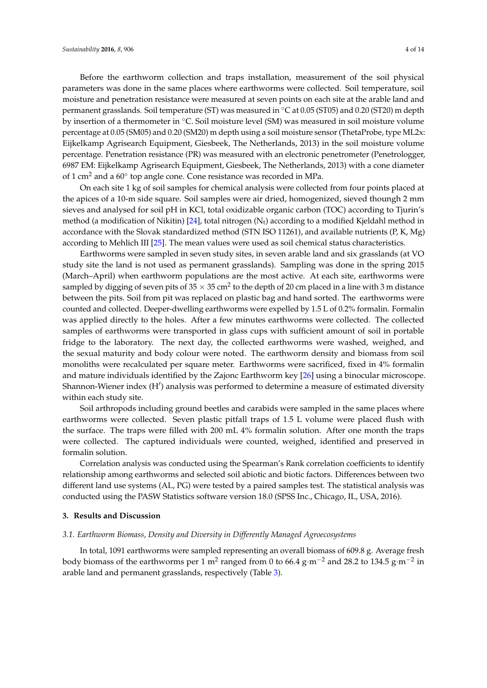Before the earthworm collection and traps installation, measurement of the soil physical parameters was done in the same places where earthworms were collected. Soil temperature, soil moisture and penetration resistance were measured at seven points on each site at the arable land and permanent grasslands. Soil temperature (ST) was measured in ◦C at 0.05 (ST05) and 0.20 (ST20) m depth by insertion of a thermometer in ◦C. Soil moisture level (SM) was measured in soil moisture volume percentage at 0.05 (SM05) and 0.20 (SM20) m depth using a soil moisture sensor (ThetaProbe, type ML2x: Eijkelkamp Agrisearch Equipment, Giesbeek, The Netherlands, 2013) in the soil moisture volume percentage. Penetration resistance (PR) was measured with an electronic penetrometer (Penetrologger, 6987 EM: Eijkelkamp Agrisearch Equipment, Giesbeek, The Netherlands, 2013) with a cone diameter of 1 cm<sup>2</sup> and a 60° top angle cone. Cone resistance was recorded in MPa.

On each site 1 kg of soil samples for chemical analysis were collected from four points placed at the apices of a 10-m side square. Soil samples were air dried, homogenized, sieved thoungh 2 mm sieves and analysed for soil pH in KCl, total oxidizable organic carbon (TOC) according to Tjurin's method (a modification of Nikitin)  $[24]$ , total nitrogen (N<sub>t</sub>) according to a modified Kjeldahl method in accordance with the Slovak standardized method (STN ISO 11261), and available nutrients (P, K, Mg) according to Mehlich III [\[25\]](#page-12-2). The mean values were used as soil chemical status characteristics.

Earthworms were sampled in seven study sites, in seven arable land and six grasslands (at VO study site the land is not used as permanent grasslands). Sampling was done in the spring 2015 (March–April) when earthworm populations are the most active. At each site, earthworms were sampled by digging of seven pits of 35  $\times$  35 cm<sup>2</sup> to the depth of 20 cm placed in a line with 3 m distance between the pits. Soil from pit was replaced on plastic bag and hand sorted. The earthworms were counted and collected. Deeper-dwelling earthworms were expelled by 1.5 L of 0.2% formalin. Formalin was applied directly to the holes. After a few minutes earthworms were collected. The collected samples of earthworms were transported in glass cups with sufficient amount of soil in portable fridge to the laboratory. The next day, the collected earthworms were washed, weighed, and the sexual maturity and body colour were noted. The earthworm density and biomass from soil monoliths were recalculated per square meter. Earthworms were sacrificed, fixed in 4% formalin and mature individuals identified by the Zajonc Earthworm key [\[26\]](#page-12-3) using a binocular microscope. Shannon-Wiener index (H') analysis was performed to determine a measure of estimated diversity within each study site.

Soil arthropods including ground beetles and carabids were sampled in the same places where earthworms were collected. Seven plastic pitfall traps of 1.5 L volume were placed flush with the surface. The traps were filled with 200 mL 4% formalin solution. After one month the traps were collected. The captured individuals were counted, weighed, identified and preserved in formalin solution.

Correlation analysis was conducted using the Spearman's Rank correlation coefficients to identify relationship among earthworms and selected soil abiotic and biotic factors. Differences between two different land use systems (AL, PG) were tested by a paired samples test. The statistical analysis was conducted using the PASW Statistics software version 18.0 (SPSS Inc., Chicago, IL, USA, 2016).

#### **3. Results and Discussion**

#### *3.1. Earthworm Biomass, Density and Diversity in Differently Managed Agroecosystems*

In total, 1091 earthworms were sampled representing an overall biomass of 609.8 g. Average fresh body biomass of the earthworms per 1 m<sup>2</sup> ranged from 0 to 66.4 g·m<sup>−2</sup> and 28.2 to 134.5 g·m<sup>−2</sup> in arable land and permanent grasslands, respectively (Table [3\)](#page-4-0).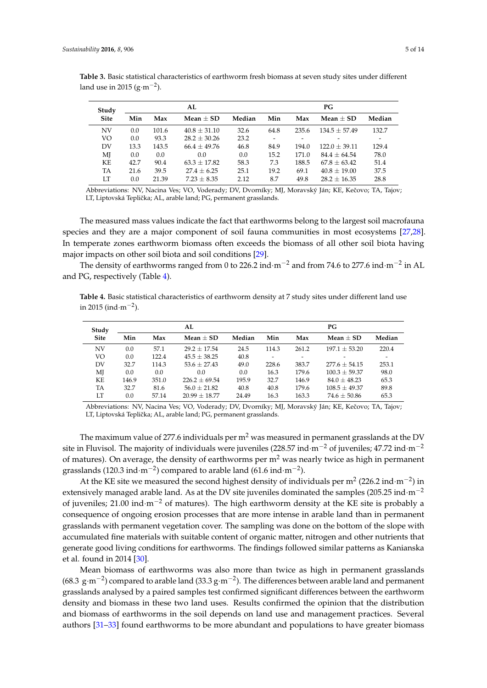| Study       |      |       | AL               |        | PG.  |       |                 |                          |  |  |
|-------------|------|-------|------------------|--------|------|-------|-----------------|--------------------------|--|--|
| <b>Site</b> | Min  | Max   | Mean $+$ SD      | Median | Min  | Max   | Mean $+$ SD     | Median                   |  |  |
| <b>NV</b>   | 0.0  | 101.6 | $40.8 \pm 31.10$ | 32.6   | 64.8 | 235.6 | $134.5 + 57.49$ | 132.7                    |  |  |
| VO          | 0.0  | 93.3  | $28.2 + 30.26$   | 23.2   |      |       |                 | $\overline{\phantom{a}}$ |  |  |
| DV          | 13.3 | 143.5 | $66.4 + 49.76$   | 46.8   | 84.9 | 194.0 | $122.0 + 39.11$ | 129.4                    |  |  |
| MJ          | 0.0  | 0.0   | 0.0              | 0.0    | 15.2 | 171.0 | $84.4 + 64.54$  | 78.0                     |  |  |
| KE          | 42.7 | 90.4  | $63.3 + 17.82$   | 58.3   | 7.3  | 188.5 | $67.8 + 63.42$  | 51.4                     |  |  |
| TA          | 21.6 | 39.5  | $27.4 + 6.25$    | 25.1   | 19.2 | 69.1  | $40.8 + 19.00$  | 37.5                     |  |  |
| LТ          | 0.0  | 21.39 | $7.23 + 8.35$    | 2.12   | 8.7  | 49.8  | $28.2 + 16.35$  | 28.8                     |  |  |

<span id="page-4-0"></span>**Table 3.** Basic statistical characteristics of earthworm fresh biomass at seven study sites under different land use in 2015 ( $g·m<sup>-2</sup>$ ).

Abbreviations: NV, Nacina Ves; VO, Voderady; DV, Dvorníky; MJ, Moravský Ján; KE, Kečovo; TA, Tajov; LT, Liptovská Teplička; AL, arable land; PG, permanent grasslands.

The measured mass values indicate the fact that earthworms belong to the largest soil macrofauna species and they are a major component of soil fauna communities in most ecosystems [\[27,](#page-12-4)[28\]](#page-12-5). In temperate zones earthworm biomass often exceeds the biomass of all other soil biota having major impacts on other soil biota and soil conditions [\[29\]](#page-12-6).

The density of earthworms ranged from 0 to 226.2 ind∙m<sup>-2</sup> and from 74.6 to 277.6 ind∙m<sup>-2</sup> in AL and PG, respectively (Table [4\)](#page-4-1).

<span id="page-4-1"></span>**Table 4.** Basic statistical characteristics of earthworm density at 7 study sites under different land use in 2015 (ind $\cdot$ m $^{-2}$ ).

|       |       | AL               |        | PG    |       |                   |        |  |
|-------|-------|------------------|--------|-------|-------|-------------------|--------|--|
| Min   | Max   | Mean $+$ SD      | Median | Min   | Max   | Mean $+$ SD       | Median |  |
| 0.0   | 57.1  | $29.2 + 17.54$   | 24.5   | 114.3 | 261.2 | $197.1 + 53.20$   | 220.4  |  |
| 0.0   | 122.4 | $45.5 \pm 38.25$ | 40.8   | -     |       |                   |        |  |
| 32.7  | 114.3 | $53.6 + 27.43$   | 49.0   | 228.6 | 383.7 | $277.6 \pm 54.15$ | 253.1  |  |
| 0.0   | 0.0   | 0.0              | 0.0    | 16.3  | 179.6 | $100.3 \pm 59.37$ | 98.0   |  |
| 146.9 | 351.0 | $226.2 + 69.54$  | 195.9  | 32.7  | 146.9 | $84.0 + 48.23$    | 65.3   |  |
| 32.7  | 81.6  | $56.0 + 21.82$   | 40.8   | 40.8  | 179.6 | $108.5 + 49.37$   | 89.8   |  |
| 0.0   | 57.14 | $20.99 + 18.77$  | 24.49  | 16.3  | 163.3 | $74.6 \pm 50.86$  | 65.3   |  |
|       |       |                  |        |       |       |                   |        |  |

Abbreviations: NV, Nacina Ves; VO, Voderady; DV, Dvorníky; MJ, Moravský Ján; KE, Kečovo; TA, Tajov; LT, Liptovská Teplička; AL, arable land; PG, permanent grasslands.

The maximum value of 277.6 individuals per  $m<sup>2</sup>$  was measured in permanent grasslands at the DV site in Fluvisol. The majority of individuals were juveniles (228.57 ind·m−<sup>2</sup> of juveniles; 47.72 ind·m−<sup>2</sup> of matures). On average, the density of earthworms per  $m<sup>2</sup>$  was nearly twice as high in permanent grasslands (120.3 ind·m<sup>-2</sup>) compared to arable land (61.6 ind·m<sup>-2</sup>).

At the KE site we measured the second highest density of individuals per m<sup>2</sup> (226.2 ind·m<sup>-2</sup>) in extensively managed arable land. As at the DV site juveniles dominated the samples (205.25 ind·m<sup>-2</sup> of juveniles; 21.00 ind·m<sup>-2</sup> of matures). The high earthworm density at the KE site is probably a consequence of ongoing erosion processes that are more intense in arable land than in permanent grasslands with permanent vegetation cover. The sampling was done on the bottom of the slope with accumulated fine materials with suitable content of organic matter, nitrogen and other nutrients that generate good living conditions for earthworms. The findings followed similar patterns as Kanianska et al. found in 2014 [\[30\]](#page-12-7).

Mean biomass of earthworms was also more than twice as high in permanent grasslands (68.3  $\rm g \cdot m^{-2}$ ) compared to arable land (33.3  $\rm g \cdot m^{-2}$ ). The differences between arable land and permanent grasslands analysed by a paired samples test confirmed significant differences between the earthworm density and biomass in these two land uses. Results confirmed the opinion that the distribution and biomass of earthworms in the soil depends on land use and management practices. Several authors [\[31](#page-12-8)[–33\]](#page-12-9) found earthworms to be more abundant and populations to have greater biomass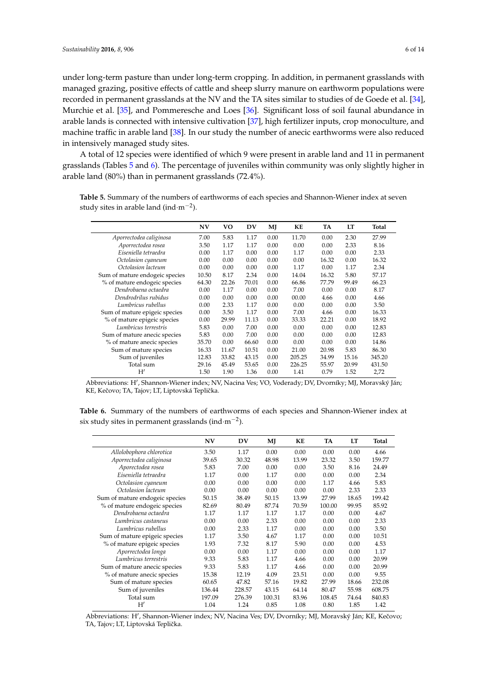under long-term pasture than under long-term cropping. In addition, in permanent grasslands with managed grazing, positive effects of cattle and sheep slurry manure on earthworm populations were recorded in permanent grasslands at the NV and the TA sites similar to studies of de Goede et al. [\[34\]](#page-12-10), Murchie et al. [\[35\]](#page-12-11), and Pommeresche and Loes [\[36\]](#page-12-12). Significant loss of soil faunal abundance in arable lands is connected with intensive cultivation [\[37\]](#page-12-13), high fertilizer inputs, crop monoculture, and machine traffic in arable land [\[38\]](#page-12-14). In our study the number of anecic earthworms were also reduced in intensively managed study sites.

A total of 12 species were identified of which 9 were present in arable land and 11 in permanent grasslands (Tables [5](#page-5-0) and [6\)](#page-5-1). The percentage of juveniles within community was only slightly higher in arable land (80%) than in permanent grasslands (72.4%).

<span id="page-5-0"></span>**Table 5.** Summary of the numbers of earthworms of each species and Shannon-Wiener index at seven study sites in arable land (ind $\cdot$ m<sup>-2</sup>).

|                                | N V   | VO    | DV    | MJ   | KE     | TA    | LT    | Total  |
|--------------------------------|-------|-------|-------|------|--------|-------|-------|--------|
| Aporrectodea caliginosa        | 7.00  | 5.83  | 1.17  | 0.00 | 11.70  | 0.00  | 2.30  | 27.99  |
| Aporrectodea rosea             | 3.50  | 1.17  | 1.17  | 0.00 | 0.00   | 0.00  | 2.33  | 8.16   |
| Eiseniella tetraedra           | 0.00  | 1.17  | 0.00  | 0.00 | 1.17   | 0.00  | 0.00  | 2.33   |
| Octolasion cyaneum             | 0.00  | 0.00  | 0.00  | 0.00 | 0.00   | 16.32 | 0.00  | 16.32  |
| Octolasion lacteum             | 0.00  | 0.00  | 0.00  | 0.00 | 1.17   | 0.00  | 1.17  | 2.34   |
| Sum of mature endogeic species | 10.50 | 8.17  | 2.34  | 0.00 | 14.04  | 16.32 | 5.80  | 57.17  |
| % of mature endogeic species   | 64.30 | 22.26 | 70.01 | 0.00 | 66.86  | 77.79 | 99.49 | 66.23  |
| Dendrobaena octaedra           | 0.00  | 1.17  | 0.00  | 0.00 | 7.00   | 0.00  | 0.00  | 8.17   |
| Dendrodrilus rubidus           | 0.00  | 0.00  | 0.00  | 0.00 | 00.00  | 4.66  | 0.00  | 4.66   |
| Lumbricus rubellus             | 0.00  | 2.33  | 1.17  | 0.00 | 0.00   | 0.00  | 0.00  | 3.50   |
| Sum of mature epigeic species  | 0.00  | 3.50  | 1.17  | 0.00 | 7.00   | 4.66  | 0.00  | 16.33  |
| % of mature epigeic species    | 0.00  | 29.99 | 11.13 | 0.00 | 33.33  | 22.21 | 0.00  | 18.92  |
| Lumbricus terrestris           | 5.83  | 0.00  | 7.00  | 0.00 | 0.00   | 0.00  | 0.00  | 12.83  |
| Sum of mature anecic species   | 5.83  | 0.00  | 7.00  | 0.00 | 0.00   | 0.00  | 0.00  | 12.83  |
| % of mature anecic species     | 35.70 | 0.00  | 66.60 | 0.00 | 0.00   | 0.00  | 0.00  | 14.86  |
| Sum of mature species          | 16.33 | 11.67 | 10.51 | 0.00 | 21.00  | 20.98 | 5.83  | 86.30  |
| Sum of juveniles               | 12.83 | 33.82 | 43.15 | 0.00 | 205.25 | 34.99 | 15.16 | 345.20 |
| Total sum                      | 29.16 | 45.49 | 53.65 | 0.00 | 226.25 | 55.97 | 20.99 | 431.50 |
| H'                             | 1.50  | 1.90  | 1.36  | 0.00 | 1.41   | 0.79  | 1.52  | 2,72   |

| Abbreviations: H', Shannon-Wiener index; NV, Nacina Ves; VO, Voderady; DV, Dvorníky; MJ, Moravský Ján; |  |
|--------------------------------------------------------------------------------------------------------|--|
| KE, Kečovo; TA, Tajov; LT, Liptovská Teplička.                                                         |  |

<span id="page-5-1"></span>**Table 6.** Summary of the numbers of earthworms of each species and Shannon-Wiener index at six study sites in permanent grasslands (ind $\cdot$ m<sup>-2</sup>).

|                                | N V    | DV     | MJ     | KE    | TA     | LT    | <b>Total</b> |
|--------------------------------|--------|--------|--------|-------|--------|-------|--------------|
| Allolobophora chlorotica       | 3.50   | 1.17   | 0.00   | 0.00  | 0.00   | 0.00  | 4.66         |
| Aporrectodea caliginosa        | 39.65  | 30.32  | 48.98  | 13.99 | 23.32  | 3.50  | 159.77       |
| Aporectodea rosea              | 5.83   | 7.00   | 0.00   | 0.00  | 3.50   | 8.16  | 24.49        |
| Eiseniella tetraedra           | 1.17   | 0.00   | 1.17   | 0.00  | 0.00   | 0.00  | 2.34         |
| Octolasion cyaneum             | 0.00   | 0.00   | 0.00   | 0.00  | 1.17   | 4.66  | 5.83         |
| Octolasion lacteum             | 0.00   | 0.00   | 0.00   | 0.00  | 0.00   | 2.33  | 2.33         |
| Sum of mature endogeic species | 50.15  | 38.49  | 50.15  | 13.99 | 27.99  | 18.65 | 199.42       |
| % of mature endogeic species   | 82.69  | 80.49  | 87.74  | 70.59 | 100.00 | 99.95 | 85.92        |
| Dendrobaena octaedra           | 1.17   | 1.17   | 1.17   | 1.17  | 0.00   | 0.00  | 4.67         |
| Lumbricus castaneus            | 0.00   | 0.00   | 2.33   | 0.00  | 0.00   | 0.00  | 2.33         |
| Lumbricus rubellus             | 0.00   | 2.33   | 1.17   | 0.00  | 0.00   | 0.00  | 3.50         |
| Sum of mature epigeic species  | 1.17   | 3.50   | 4.67   | 1.17  | 0.00   | 0.00  | 10.51        |
| % of mature epigeic species    | 1.93   | 7.32   | 8.17   | 5.90  | 0.00   | 0.00  | 4.53         |
| Aporrectodea longa             | 0.00   | 0.00   | 1.17   | 0.00  | 0.00   | 0.00  | 1.17         |
| Lumbricus terrestris           | 9.33   | 5.83   | 1.17   | 4.66  | 0.00   | 0.00  | 20.99        |
| Sum of mature anecic species   | 9.33   | 5.83   | 1.17   | 4.66  | 0.00   | 0.00  | 20.99        |
| % of mature anecic species     | 15.38  | 12.19  | 4.09   | 23.51 | 0.00   | 0.00  | 9.55         |
| Sum of mature species          | 60.65  | 47.82  | 57.16  | 19.82 | 27.99  | 18.66 | 232.08       |
| Sum of juveniles               | 136.44 | 228.57 | 43.15  | 64.14 | 80.47  | 55.98 | 608.75       |
| Total sum                      | 197.09 | 276.39 | 100.31 | 83.96 | 108.45 | 74.64 | 840.83       |
| H'                             | 1.04   | 1.24   | 0.85   | 1.08  | 0.80   | 1.85  | 1.42         |

Abbreviations: H', Shannon-Wiener index; NV, Nacina Ves; DV, Dvorníky; MJ, Moravský Ján; KE, Kečovo; TA, Tajov; LT, Liptovská Teplička.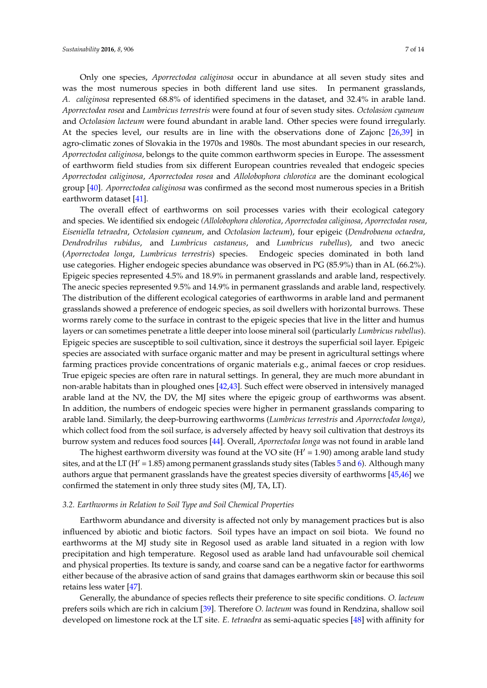Only one species, *Aporrectodea caliginosa* occur in abundance at all seven study sites and was the most numerous species in both different land use sites. In permanent grasslands, *A. caliginosa* represented 68.8% of identified specimens in the dataset, and 32.4% in arable land. *Aporrectodea rosea* and *Lumbricus terrestris* were found at four of seven study sites. *Octolasion cyaneum* and *Octolasion lacteum* were found abundant in arable land. Other species were found irregularly. At the species level, our results are in line with the observations done of Zajonc [\[26,](#page-12-3)[39\]](#page-12-15) in agro-climatic zones of Slovakia in the 1970s and 1980s. The most abundant species in our research, *Aporrectodea caliginosa*, belongs to the quite common earthworm species in Europe. The assessment of earthworm field studies from six different European countries revealed that endogeic species *Aporrectodea caliginosa*, *Aporrectodea rosea* and *Allolobophora chlorotica* are the dominant ecological group [\[40\]](#page-12-16). *Aporrectodea caliginosa* was confirmed as the second most numerous species in a British earthworm dataset [\[41\]](#page-12-17).

The overall effect of earthworms on soil processes varies with their ecological category and species. We identified six endogeic *(Allolobophora chlorotica*, *Aporrectodea caliginosa*, *Aporrectodea rosea*, *Eiseniella tetraedra*, *Octolasion cyaneum*, and *Octolasion lacteum*), four epigeic (*Dendrobaena octaedra*, *Dendrodrilus rubidus*, and *Lumbricus castaneus*, and *Lumbricus rubellus*), and two anecic (*Aporrectodea longa*, *Lumbricus terrestris*) species. Endogeic species dominated in both land use categories. Higher endogeic species abundance was observed in PG (85.9%) than in AL (66.2%). Epigeic species represented 4.5% and 18.9% in permanent grasslands and arable land, respectively. The anecic species represented 9.5% and 14.9% in permanent grasslands and arable land, respectively. The distribution of the different ecological categories of earthworms in arable land and permanent grasslands showed a preference of endogeic species, as soil dwellers with horizontal burrows. These worms rarely come to the surface in contrast to the epigeic species that live in the litter and humus layers or can sometimes penetrate a little deeper into loose mineral soil (particularly *Lumbricus rubellus*). Epigeic species are susceptible to soil cultivation, since it destroys the superficial soil layer. Epigeic species are associated with surface organic matter and may be present in agricultural settings where farming practices provide concentrations of organic materials e.g., animal faeces or crop residues. True epigeic species are often rare in natural settings. In general, they are much more abundant in non-arable habitats than in ploughed ones [\[42](#page-12-18)[,43\]](#page-12-19). Such effect were observed in intensively managed arable land at the NV, the DV, the MJ sites where the epigeic group of earthworms was absent. In addition, the numbers of endogeic species were higher in permanent grasslands comparing to arable land. Similarly, the deep-burrowing earthworms (*Lumbricus terrestris* and *Aporrectodea longa)*, which collect food from the soil surface, is adversely affected by heavy soil cultivation that destroys its burrow system and reduces food sources [\[44\]](#page-12-20). Overall, *Aporrectodea longa* was not found in arable land

The highest earthworm diversity was found at the VO site ( $H' = 1.90$ ) among arable land study sites, and at the LT ( $H' = 1.85$  $H' = 1.85$ ) among permanent grasslands study sites (Tables 5 and [6\)](#page-5-1). Although many authors argue that permanent grasslands have the greatest species diversity of earthworms [\[45,](#page-12-21)[46\]](#page-12-22) we confirmed the statement in only three study sites (MJ, TA, LT).

#### *3.2. Earthworms in Relation to Soil Type and Soil Chemical Properties*

Earthworm abundance and diversity is affected not only by management practices but is also influenced by abiotic and biotic factors. Soil types have an impact on soil biota. We found no earthworms at the MJ study site in Regosol used as arable land situated in a region with low precipitation and high temperature. Regosol used as arable land had unfavourable soil chemical and physical properties. Its texture is sandy, and coarse sand can be a negative factor for earthworms either because of the abrasive action of sand grains that damages earthworm skin or because this soil retains less water [\[47\]](#page-12-23).

Generally, the abundance of species reflects their preference to site specific conditions. *O. lacteum* prefers soils which are rich in calcium [\[39\]](#page-12-15). Therefore *O. lacteum* was found in Rendzina, shallow soil developed on limestone rock at the LT site. *E. tetraedra* as semi-aquatic species [\[48\]](#page-13-0) with affinity for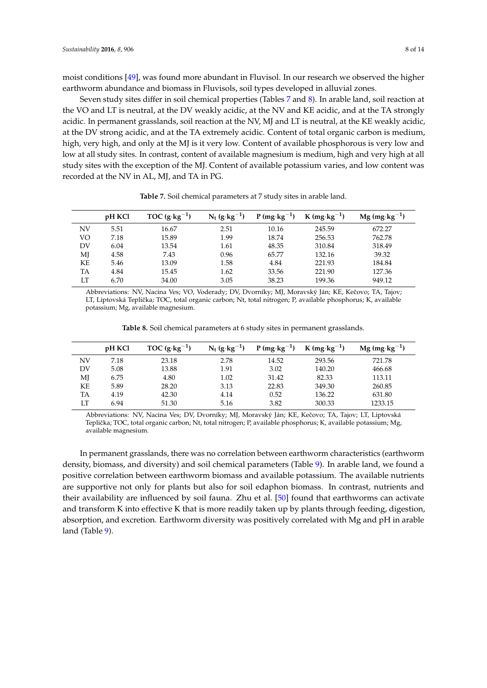moist conditions [\[49\]](#page-13-1), was found more abundant in Fluvisol. In our research we observed the higher earthworm abundance and biomass in Fluvisols, soil types developed in alluvial zones.

Seven study sites differ in soil chemical properties (Tables [7](#page-7-0) and [8\)](#page-7-1). In arable land, soil reaction at the VO and LT is neutral, at the DV weakly acidic, at the NV and KE acidic, and at the TA strongly acidic. In permanent grasslands, soil reaction at the NV, MJ and LT is neutral, at the KE weakly acidic, at the DV strong acidic, and at the TA extremely acidic. Content of total organic carbon is medium, high, very high, and only at the MJ is it very low. Content of available phosphorous is very low and low at all study sites. In contrast, content of available magnesium is medium, high and very high at all study sites with the exception of the MJ. Content of available potassium varies, and low content was recorded at the NV in AL, MJ, and TA in PG.

<span id="page-7-0"></span>

|    | pH KCl | TOC $(g \cdot kg^{-1})$ | $N_t$ (g·kg <sup>-1</sup> ) | $P(mg \cdot kg^{-1})$ | $K$ (mg·kg <sup>-1</sup> ) | $Mg$ (mg·kg <sup>-1</sup> ) |  |
|----|--------|-------------------------|-----------------------------|-----------------------|----------------------------|-----------------------------|--|
| NV | 5.51   | 16.67                   | 2.51                        | 10.16                 | 245.59                     | 672.27                      |  |
| VO | 7.18   | 15.89                   | 1.99                        | 18.74                 | 256.53                     | 762.78                      |  |
| DV | 6.04   | 13.54                   | 1.61                        | 48.35                 | 310.84                     | 318.49                      |  |
| MJ | 4.58   | 7.43                    | 0.96                        | 65.77                 | 132.16                     | 39.32                       |  |
| ΚE | 5.46   | 13.09                   | 1.58                        | 4.84                  | 221.93                     | 184.84                      |  |
| TA | 4.84   | 15.45                   | 1.62                        | 33.56                 | 221.90                     | 127.36                      |  |
| LT | 6.70   | 34.00                   | 3.05                        | 38.23                 | 199.36                     | 949.12                      |  |
|    |        |                         |                             |                       |                            |                             |  |

**Table 7.** Soil chemical parameters at 7 study sites in arable land.

Abbreviations: NV, Nacina Ves; VO, Voderady; DV, Dyorníky; MJ, Moravský Ján; KE, Kečovo; TA, Tajov; LT, Liptovská Teplička; TOC, total organic carbon; Nt, total nitrogen; P, available phosphorus; K, available potassium; Mg, available magnesium.

**Table 8.** Soil chemical parameters at 6 study sites in permanent grasslands.

<span id="page-7-1"></span>

|    | pH KCl | TOC $(g \cdot kg^{-1})$ | $N_t$ (g·kg <sup>-1</sup> ) | $P(mg \cdot kg^{-1})$ | $K$ (mg·kg <sup>-1</sup> ) | $Mg$ (mg·kg <sup>-1</sup> ) |
|----|--------|-------------------------|-----------------------------|-----------------------|----------------------------|-----------------------------|
| NV | 7.18   | 23.18                   | 2.78                        | 14.52                 | 293.56                     | 721.78                      |
| DV | 5.08   | 13.88                   | 1.91                        | 3.02                  | 140.20                     | 466.68                      |
| МЈ | 6.75   | 4.80                    | 1.02                        | 31.42                 | 82.33                      | 113.11                      |
| ΚE | 5.89   | 28.20                   | 3.13                        | 22.83                 | 349.30                     | 260.85                      |
| TA | 4.19   | 42.30                   | 4.14                        | 0.52                  | 136.22                     | 631.80                      |
| LT | 6.94   | 51.30                   | 5.16                        | 3.82                  | 300.33                     | 1233.15                     |

Abbreviations: NV, Nacina Ves; DV, Dvorníky; MJ, Moravský Ján; KE, Keˇcovo; TA, Tajov; LT, Liptovská Teplička; TOC, total organic carbon; Nt, total nitrogen; P, available phosphorus; K, available potassium; Mg, available magnesium.

In permanent grasslands, there was no correlation between earthworm characteristics (earthworm density, biomass, and diversity) and soil chemical parameters (Table [9\)](#page-8-0). In arable land, we found a positive correlation between earthworm biomass and available potassium. The available nutrients are supportive not only for plants but also for soil edaphon biomass. In contrast, nutrients and their availability are influenced by soil fauna. Zhu et al. [\[50\]](#page-13-2) found that earthworms can activate and transform K into effective K that is more readily taken up by plants through feeding, digestion, absorption, and excretion. Earthworm diversity was positively correlated with Mg and pH in arable land (Table [9\)](#page-8-0).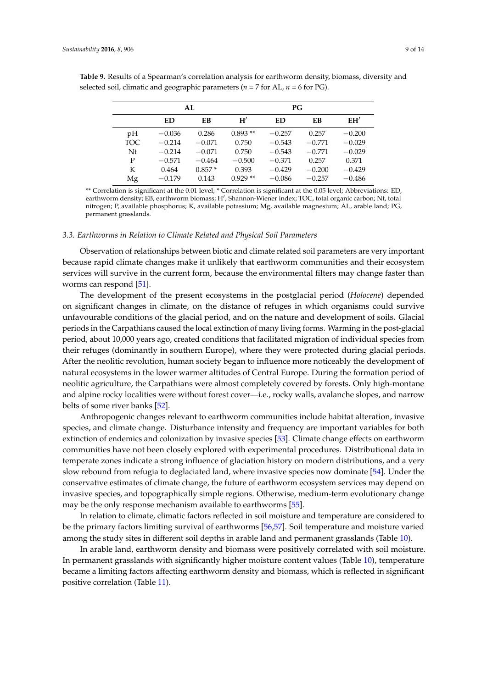|            |          | AL       |           | PG        |          |          |  |  |  |
|------------|----------|----------|-----------|-----------|----------|----------|--|--|--|
|            | ED       | EB       | H'        | <b>ED</b> | EB       | EH'      |  |  |  |
| pH         | $-0.036$ | 0.286    | $0.893**$ | $-0.257$  | 0.257    | $-0.200$ |  |  |  |
| <b>TOC</b> | $-0.214$ | $-0.071$ | 0.750     | $-0.543$  | $-0.771$ | $-0.029$ |  |  |  |
| Nt         | $-0.214$ | $-0.071$ | 0.750     | $-0.543$  | $-0.771$ | $-0.029$ |  |  |  |
| P          | $-0.571$ | $-0.464$ | $-0.500$  | $-0.371$  | 0.257    | 0.371    |  |  |  |
| K          | 0.464    | $0.857*$ | 0.393     | $-0.429$  | $-0.200$ | $-0.429$ |  |  |  |
| Mg         | $-0.179$ | 0.143    | $0.929**$ | $-0.086$  | $-0.257$ | $-0.486$ |  |  |  |

<span id="page-8-0"></span>**Table 9.** Results of a Spearman's correlation analysis for earthworm density, biomass, diversity and selected soil, climatic and geographic parameters ( $n = 7$  for AL,  $n = 6$  for PG).

\*\* Correlation is significant at the 0.01 level; \* Correlation is significant at the 0.05 level; Abbreviations: ED, earthworm density; EB, earthworm biomass; H', Shannon-Wiener index; TOC, total organic carbon; Nt, total nitrogen; P, available phosphorus; K, available potassium; Mg, available magnesium; AL, arable land; PG, permanent grasslands.

#### *3.3. Earthworms in Relation to Climate Related and Physical Soil Parameters*

Observation of relationships between biotic and climate related soil parameters are very important because rapid climate changes make it unlikely that earthworm communities and their ecosystem services will survive in the current form, because the environmental filters may change faster than worms can respond [\[51\]](#page-13-3).

The development of the present ecosystems in the postglacial period (*Holocene*) depended on significant changes in climate, on the distance of refuges in which organisms could survive unfavourable conditions of the glacial period, and on the nature and development of soils. Glacial periods in the Carpathians caused the local extinction of many living forms. Warming in the post-glacial period, about 10,000 years ago, created conditions that facilitated migration of individual species from their refuges (dominantly in southern Europe), where they were protected during glacial periods. After the neolitic revolution, human society began to influence more noticeably the development of natural ecosystems in the lower warmer altitudes of Central Europe. During the formation period of neolitic agriculture, the Carpathians were almost completely covered by forests. Only high-montane and alpine rocky localities were without forest cover—i.e., rocky walls, avalanche slopes, and narrow belts of some river banks [\[52\]](#page-13-4).

Anthropogenic changes relevant to earthworm communities include habitat alteration, invasive species, and climate change. Disturbance intensity and frequency are important variables for both extinction of endemics and colonization by invasive species [\[53\]](#page-13-5). Climate change effects on earthworm communities have not been closely explored with experimental procedures. Distributional data in temperate zones indicate a strong influence of glaciation history on modern distributions, and a very slow rebound from refugia to deglaciated land, where invasive species now dominate [\[54\]](#page-13-6). Under the conservative estimates of climate change, the future of earthworm ecosystem services may depend on invasive species, and topographically simple regions. Otherwise, medium-term evolutionary change may be the only response mechanism available to earthworms [\[55\]](#page-13-7).

In relation to climate, climatic factors reflected in soil moisture and temperature are considered to be the primary factors limiting survival of earthworms [\[56,](#page-13-8)[57\]](#page-13-9). Soil temperature and moisture varied among the study sites in different soil depths in arable land and permanent grasslands (Table [10\)](#page-9-0).

In arable land, earthworm density and biomass were positively correlated with soil moisture. In permanent grasslands with significantly higher moisture content values (Table [10\)](#page-9-0), temperature became a limiting factors affecting earthworm density and biomass, which is reflected in significant positive correlation (Table [11\)](#page-9-1).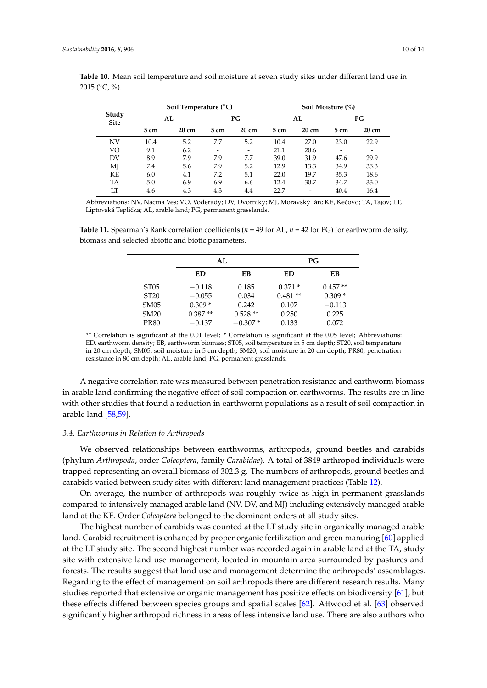<span id="page-9-0"></span>

|                             | Table 10. Mean soil temperature and soil moisture at seven study sites under different land use in |  |  |  |  |
|-----------------------------|----------------------------------------------------------------------------------------------------|--|--|--|--|
| 2015 ( $\degree$ C, $\%$ ). |                                                                                                    |  |  |  |  |
|                             |                                                                                                    |  |  |  |  |

| Study<br><b>Site</b> | Soil Temperature $(^{\circ}C)$ |       |                 |                 | Soil Moisture (%) |                 |      |       |  |
|----------------------|--------------------------------|-------|-----------------|-----------------|-------------------|-----------------|------|-------|--|
|                      | AL                             |       | PG              |                 | AL                |                 | PG   |       |  |
|                      | 5 cm                           | 20 cm | 5 <sub>cm</sub> | $20 \text{ cm}$ | 5 cm              | $20 \text{ cm}$ | 5 cm | 20 cm |  |
| <b>NV</b>            | 10.4                           | 5.2   | 7.7             | 5.2             | 10.4              | 27.0            | 23.0 | 22.9  |  |
| VO                   | 9.1                            | 6.2   |                 |                 | 21.1              | 20.6            |      |       |  |
| DV                   | 8.9                            | 7.9   | 7.9             | 7.7             | 39.0              | 31.9            | 47.6 | 29.9  |  |
| MJ                   | 7.4                            | 5.6   | 7.9             | 5.2             | 12.9              | 13.3            | 34.9 | 35.3  |  |
| KF.                  | 6.0                            | 4.1   | 7.2             | 5.1             | 22.0              | 19.7            | 35.3 | 18.6  |  |
| TA                   | 5.0                            | 6.9   | 6.9             | 6.6             | 12.4              | 30.7            | 34.7 | 33.0  |  |
| LТ                   | 4.6                            | 4.3   | 4.3             | 4.4             | 22.7              | $\overline{a}$  | 40.4 | 16.4  |  |

Abbreviations: NV, Nacina Ves; VO, Voderady; DV, Dvorníky; MJ, Moravský Ján; KE, Keˇcovo; TA, Tajov; LT, Liptovská Teplička; AL, arable land; PG, permanent grasslands.

<span id="page-9-1"></span>**Table 11.** Spearman's Rank correlation coefficients (*n* = 49 for AL, *n* = 42 for PG) for earthworm density, biomass and selected abiotic and biotic parameters.

|                  | AL        |           | РG        |           |  |  |
|------------------|-----------|-----------|-----------|-----------|--|--|
|                  | ED        | FВ        | ED        | FВ        |  |  |
| ST <sub>05</sub> | $-0.118$  | 0.185     | $0.371*$  | $0.457**$ |  |  |
| ST20             | $-0.055$  | 0.034     | $0.481**$ | $0.309*$  |  |  |
| <b>SM05</b>      | $0.309*$  | 0.242     | 0.107     | $-0.113$  |  |  |
| SM <sub>20</sub> | $0.387**$ | $0.528**$ | 0.250     | 0.225     |  |  |
| <b>PR80</b>      | $-0.137$  | $-0.307*$ | 0.133     | 0.072     |  |  |

\*\* Correlation is significant at the 0.01 level; \* Correlation is significant at the 0.05 level; Abbreviations: ED, earthworm density; EB, earthworm biomass; ST05, soil temperature in 5 cm depth; ST20, soil temperature in 20 cm depth; SM05, soil moisture in 5 cm depth; SM20, soil moisture in 20 cm depth; PR80, penetration resistance in 80 cm depth; AL, arable land; PG, permanent grasslands.

A negative correlation rate was measured between penetration resistance and earthworm biomass in arable land confirming the negative effect of soil compaction on earthworms. The results are in line with other studies that found a reduction in earthworm populations as a result of soil compaction in arable land [\[58,](#page-13-10)[59\]](#page-13-11).

#### *3.4. Earthworms in Relation to Arthropods*

We observed relationships between earthworms, arthropods, ground beetles and carabids (phylum *Arthropoda*, order *Coleoptera*, family *Carabidae*). A total of 3849 arthropod individuals were trapped representing an overall biomass of 302.3 g. The numbers of arthropods, ground beetles and carabids varied between study sites with different land management practices (Table [12\)](#page-10-0).

On average, the number of arthropods was roughly twice as high in permanent grasslands compared to intensively managed arable land (NV, DV, and MJ) including extensively managed arable land at the KE. Order *Coleoptera* belonged to the dominant orders at all study sites.

The highest number of carabids was counted at the LT study site in organically managed arable land. Carabid recruitment is enhanced by proper organic fertilization and green manuring [\[60\]](#page-13-12) applied at the LT study site. The second highest number was recorded again in arable land at the TA, study site with extensive land use management, located in mountain area surrounded by pastures and forests. The results suggest that land use and management determine the arthropods' assemblages. Regarding to the effect of management on soil arthropods there are different research results. Many studies reported that extensive or organic management has positive effects on biodiversity [\[61\]](#page-13-13), but these effects differed between species groups and spatial scales [\[62\]](#page-13-14). Attwood et al. [\[63\]](#page-13-15) observed significantly higher arthropod richness in areas of less intensive land use. There are also authors who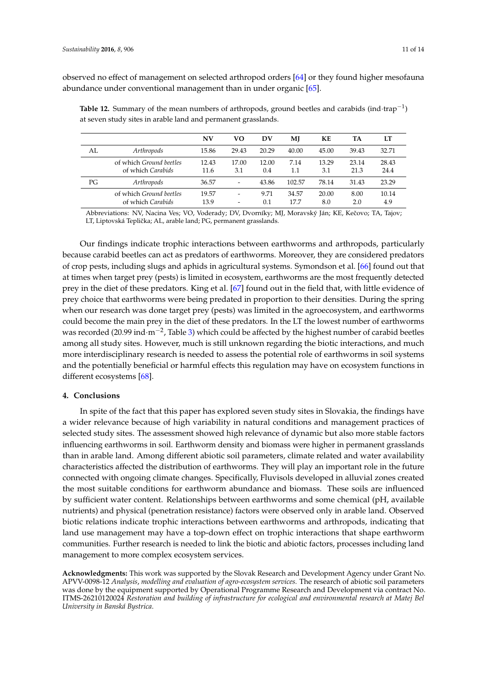observed no effect of management on selected arthropod orders [\[64\]](#page-13-16) or they found higher mesofauna abundance under conventional management than in under organic [\[65\]](#page-13-17).

|    |                                                     | N V           | vο                                                   | DV           | MJ            | KЕ           | TA            | LТ            |
|----|-----------------------------------------------------|---------------|------------------------------------------------------|--------------|---------------|--------------|---------------|---------------|
| AL | Arthropods                                          | 15.86         | 29.43                                                | 20.29        | 40.00         | 45.00        | 39.43         | 32.71         |
|    | of which <i>Ground</i> beetles<br>of which Carabids | 12.43<br>11.6 | 17.00<br>3.1                                         | 12.00<br>0.4 | 7.14<br>1.1   | 13.29<br>3.1 | 23.14<br>21.3 | 28.43<br>24.4 |
| PG | Arthropods                                          | 36.57         | $\overline{\phantom{a}}$                             | 43.86        | 102.57        | 78.14        | 31.43         | 23.29         |
|    | of which <i>Ground</i> beetles<br>of which Carabids | 19.57<br>13.9 | $\overline{\phantom{a}}$<br>$\overline{\phantom{a}}$ | 9.71<br>0.1  | 34.57<br>17.7 | 20.00<br>8.0 | 8.00<br>2.0   | 10.14<br>4.9  |

<span id="page-10-0"></span>**Table 12.** Summary of the mean numbers of arthropods, ground beetles and carabids (ind·trap−<sup>1</sup> ) at seven study sites in arable land and permanent grasslands.

Abbreviations: NV, Nacina Ves; VO, Voderady; DV, Dvorníky; MJ, Moravský Ján; KE, Kečovo; TA, Tajov; LT, Liptovská Teplička; AL, arable land; PG, permanent grasslands.

Our findings indicate trophic interactions between earthworms and arthropods, particularly because carabid beetles can act as predators of earthworms. Moreover, they are considered predators of crop pests, including slugs and aphids in agricultural systems. Symondson et al. [\[66\]](#page-13-18) found out that at times when target prey (pests) is limited in ecosystem, earthworms are the most frequently detected prey in the diet of these predators. King et al. [\[67\]](#page-13-19) found out in the field that, with little evidence of prey choice that earthworms were being predated in proportion to their densities. During the spring when our research was done target prey (pests) was limited in the agroecosystem, and earthworms could become the main prey in the diet of these predators. In the LT the lowest number of earthworms was recorded (20.99 ind·m<sup>-2</sup>, Table [3\)](#page-4-0) which could be affected by the highest number of carabid beetles among all study sites. However, much is still unknown regarding the biotic interactions, and much more interdisciplinary research is needed to assess the potential role of earthworms in soil systems and the potentially beneficial or harmful effects this regulation may have on ecosystem functions in different ecosystems [\[68\]](#page-13-20).

#### **4. Conclusions**

In spite of the fact that this paper has explored seven study sites in Slovakia, the findings have a wider relevance because of high variability in natural conditions and management practices of selected study sites. The assessment showed high relevance of dynamic but also more stable factors influencing earthworms in soil. Earthworm density and biomass were higher in permanent grasslands than in arable land. Among different abiotic soil parameters, climate related and water availability characteristics affected the distribution of earthworms. They will play an important role in the future connected with ongoing climate changes. Specifically, Fluvisols developed in alluvial zones created the most suitable conditions for earthworm abundance and biomass. These soils are influenced by sufficient water content. Relationships between earthworms and some chemical (pH, available nutrients) and physical (penetration resistance) factors were observed only in arable land. Observed biotic relations indicate trophic interactions between earthworms and arthropods, indicating that land use management may have a top-down effect on trophic interactions that shape earthworm communities. Further research is needed to link the biotic and abiotic factors, processes including land management to more complex ecosystem services.

**Acknowledgments:** This work was supported by the Slovak Research and Development Agency under Grant No. APVV-0098-12 *Analysis*, *modelling and evaluation of agro-ecosystem services.* The research of abiotic soil parameters was done by the equipment supported by Operational Programme Research and Development via contract No. ITMS-26210120024 *Restoration and building of infrastructure for ecological and environmental research at Matej Bel University in Banská Bystrica*.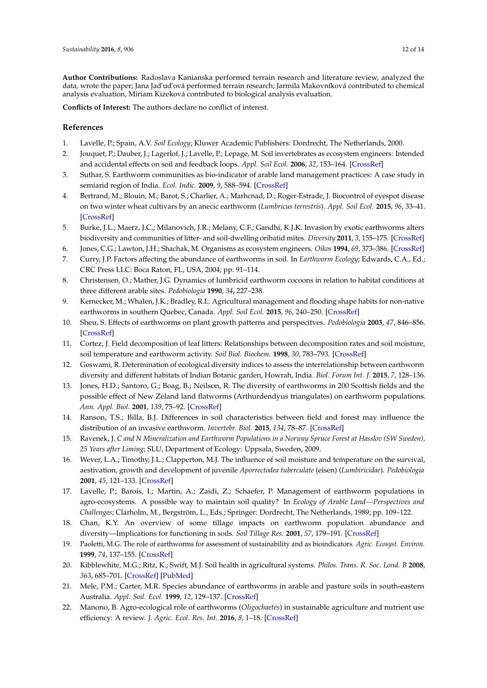**Author Contributions:** Radoslava Kanianska performed terrain research and literature review, analyzed the data, wrote the paper; Jana Jad'ud'ová performed terrain research; Jarmila Makovníková contributed to chemical analysis evaluation, Miriam Kizeková contributed to biological analysis evaluation.

**Conflicts of Interest:** The authors declare no conflict of interest.

#### **References**

- <span id="page-11-0"></span>1. Lavelle, P.; Spain, A.V. *Soil Ecology*; Kluwer Academic Publishers: Dordrecht, The Netherlands, 2000.
- <span id="page-11-1"></span>2. Jouquet, P.; Dauber, J.; Lagerlof, J.; Lavelle, P.; Lepage, M. Soil invertebrates as ecosystem engineers: Intended and accidental effects on soil and feedback loops. *Appl. Soil Ecol.* **2006**, *32*, 153–164. [\[CrossRef\]](http://dx.doi.org/10.1016/j.apsoil.2005.07.004)
- <span id="page-11-2"></span>3. Suthar, S. Earthworm communities as bio-indicator of arable land management practices: A case study in semiarid region of India. *Ecol. Indic.* **2009**, *9*, 588–594. [\[CrossRef\]](http://dx.doi.org/10.1016/j.ecolind.2008.08.002)
- <span id="page-11-3"></span>4. Bertrand, M.; Blouin, M.; Barot, S.; Charlier, A.; Marhcnad, D.; Roger-Estrade, J. Biocontrol of eyespot disease on two winter wheat cultivars by an anecic earthworm (*Lumbricus terrestris*). *Appl. Soil Ecol.* **2015**, *96*, 33–41. [\[CrossRef\]](http://dx.doi.org/10.1016/j.apsoil.2015.07.006)
- <span id="page-11-4"></span>5. Burke, J.L.; Maerz, J.C.; Milanovich, J.R.; Melany, C.F.; Gandhi, K.J.K. Invasion by exotic earthworms alters biodiversity and communities of litter- and soil-dwelling oribatid mites. *Diversity* **2011**, *3*, 155–175. [\[CrossRef\]](http://dx.doi.org/10.3390/d3010155)
- <span id="page-11-5"></span>6. Jones, C.G.; Lawton, J.H.; Shachak, M. Organisms as ecosystem engineers. *Oikos* **1994**, *69*, 373–386. [\[CrossRef\]](http://dx.doi.org/10.2307/3545850)
- <span id="page-11-6"></span>7. Curry, J.P. Factors affecting the abundance of earthworms in soil. In *Earthworm Ecology*; Edwards, C.A., Ed.; CRC Press LLC: Boca Raton, FL, USA, 2004; pp. 91–114.
- <span id="page-11-7"></span>8. Christensen, O.; Mather, J.G. Dynamics of lumbricid earthworm cocoons in relation to habitat conditions at three different arable sites. *Pedobiologia* **1990**, *34*, 227–238.
- <span id="page-11-8"></span>9. Kernecker, M.; Whalen, J.K.; Bradley, R.L. Agricultural management and flooding shape habits for non-native earthworms in southern Quebec, Canada. *Appl. Soil Ecol.* **2015**, *96*, 240–250. [\[CrossRef\]](http://dx.doi.org/10.1016/j.apsoil.2015.08.011)
- <span id="page-11-9"></span>10. Sheu, S. Effects of earthworms on plant growth patterns and perspecitves. *Pedobiologia* **2003**, *47*, 846–856. [\[CrossRef\]](http://dx.doi.org/10.1078/0031-4056-00270)
- 11. Cortez, J. Field decomposition of leaf litters: Relationships between decomposition rates and soil moisture, soil temperature and earthworm activity. *Soil Biol. Biochem.* **1998**, *30*, 783–793. [\[CrossRef\]](http://dx.doi.org/10.1016/S0038-0717(97)00163-6)
- 12. Goswami, R. Determination of ecological diversity indices to assess the interrelationship between earthworm diversity and different habitats of Indian Botanic garden, Howrah, India. *Biol. Forum Int. J.* **2015**, *7*, 128–136.
- 13. Jones, H.D.; Santoro, G.; Boag, B.; Neilson, R. The diversity of earthworms in 200 Scottish fields and the possible effect of New Zeland land flatworms (Arthurdendyus triangulates) on earthworm populations. *Ann. Appl. Biol.* **2001**, *139*, 75–92. [\[CrossRef\]](http://dx.doi.org/10.1111/j.1744-7348.2001.tb00132.x)
- 14. Ranson, T.S.; Billa, B.J. Differences in soil characteristics between field and forest may influence the distribution of an invasive earthworm. *Invertebr. Biol.* **2015**, *134*, 78–87. [\[CrossRef\]](http://dx.doi.org/10.1111/ivb.12078)
- 15. Ravenek, J. *C and N Mineralization and Earthworm Populations in a Norway Spruce Forest at Hasslov (SW Sweden), 25 Years after Liming*; SLU, Department of Ecology: Uppsala, Sweden, 2009.
- <span id="page-11-10"></span>16. Wever, L.A.; Timothy, J.L.; Clapperton, M.J. The influence of soil moisture and temperature on the survival, aestivation, growth and development of juvenile *Aporrectodea tuberculate* (eisen) (*Lumbiricidae*). *Pedobiologia* **2001**, *45*, 121–133. [\[CrossRef\]](http://dx.doi.org/10.1078/0031-4056-00074)
- <span id="page-11-11"></span>17. Lavelle, P.; Barois, I.; Martin, A.; Zaidi, Z.; Schaefer, P. Management of earthworm populations in agro-ecosystems. A possible way to maintain soil quality? In *Ecology of Arable Land—Perspectives and Challenges*; Clarholm, M., Bergström, L., Eds.; Springer: Dordrecht, The Netherlands, 1989; pp. 109–122.
- <span id="page-11-12"></span>18. Chan, K.Y. An overview of some tillage impacts on earthworm population abundance and diversity—Implications for functioning in soils. *Soil Tillage Res.* **2001**, *57*, 179–191. [\[CrossRef\]](http://dx.doi.org/10.1016/S0167-1987(00)00173-2)
- <span id="page-11-13"></span>19. Paoletti, M.G. The role of earthworms for assessment of sustainability and as bioindicators. *Agric. Ecosyst. Environ.* **1999**, *74*, 137–155. [\[CrossRef\]](http://dx.doi.org/10.1016/S0167-8809(99)00034-1)
- <span id="page-11-14"></span>20. Kibblewhite, M.G.; Ritz, K.; Swift, M.J. Soil health in agricultural systems. *Philos. Trans. R. Soc. Lond. B* **2008**, *363*, 685–701. [\[CrossRef\]](http://dx.doi.org/10.1098/rstb.2007.2178) [\[PubMed\]](http://www.ncbi.nlm.nih.gov/pubmed/17785275)
- <span id="page-11-15"></span>21. Mele, P.M.; Carter, M.R. Species abundance of earthworms in arable and pasture soils in south-eastern Australia. *Appl. Soil. Ecol.* **1999**, *12*, 129–137. [\[CrossRef\]](http://dx.doi.org/10.1016/S0929-1393(99)00006-2)
- <span id="page-11-16"></span>22. Manono, B. Agro-ecological role of earthworms (*Oligochaetes*) in sustainable agriculture and nutrient use efficiency: A review. *J. Agric. Ecol. Res. Int.* **2016**, *8*, 1–18. [\[CrossRef\]](http://dx.doi.org/10.9734/JAERI/2016/24517)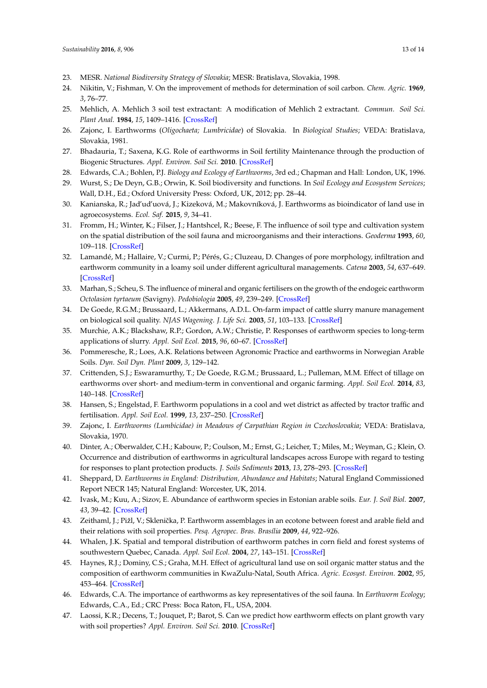- <span id="page-12-0"></span>23. MESR. *National Biodiversity Strategy of Slovakia*; MESR: Bratislava, Slovakia, 1998.
- <span id="page-12-1"></span>24. Nikitin, V.; Fishman, V. On the improvement of methods for determination of soil carbon. *Chem. Agric.* **1969**, *3*, 76–77.
- <span id="page-12-2"></span>25. Mehlich, A. Mehlich 3 soil test extractant: A modification of Mehlich 2 extractant. *Commun. Soil Sci. Plant Anal.* **1984**, *15*, 1409–1416. [\[CrossRef\]](http://dx.doi.org/10.1080/00103628409367568)
- <span id="page-12-3"></span>26. Zajonc, I. Earthworms (*Oligochaeta; Lumbricidae*) of Slovakia. In *Biological Studies*; VEDA: Bratislava, Slovakia, 1981.
- <span id="page-12-4"></span>27. Bhadauria, T.; Saxena, K.G. Role of earthworms in Soil fertility Maintenance through the production of Biogenic Structures. *Appl. Environ. Soil Sci.* **2010**. [\[CrossRef\]](http://dx.doi.org/10.1155/2010/816073)
- <span id="page-12-5"></span>28. Edwards, C.A.; Bohlen, P.J. *Biology and Ecology of Earthworms*, 3rd ed.; Chapman and Hall: London, UK, 1996.
- <span id="page-12-6"></span>29. Wurst, S.; De Deyn, G.B.; Orwin, K. Soil biodiversity and functions. In *Soil Ecology and Ecosystem Services*; Wall, D.H., Ed.; Oxford University Press: Oxford, UK, 2012; pp. 28–44.
- <span id="page-12-7"></span>30. Kanianska, R.; Jad'ud'uová, J.; Kizeková, M.; Makovníková, J. Earthworms as bioindicator of land use in agroecosystems. *Ecol. Saf.* **2015**, *9*, 34–41.
- <span id="page-12-8"></span>31. Fromm, H.; Winter, K.; Filser, J.; Hantshcel, R.; Beese, F. The influence of soil type and cultivation system on the spatial distribution of the soil fauna and microorganisms and their interactions. *Geoderma* **1993**, *60*, 109–118. [\[CrossRef\]](http://dx.doi.org/10.1016/0016-7061(93)90021-C)
- 32. Lamandé, M.; Hallaire, V.; Curmi, P.; Pérés, G.; Cluzeau, D. Changes of pore morphology, infiltration and earthworm community in a loamy soil under different agricultural managements. *Catena* **2003**, *54*, 637–649. [\[CrossRef\]](http://dx.doi.org/10.1016/S0341-8162(03)00114-0)
- <span id="page-12-9"></span>33. Marhan, S.; Scheu, S. The influence of mineral and organic fertilisers on the growth of the endogeic earthworm *Octolasion tyrtaeum* (Savigny). *Pedobiologia* **2005**, *49*, 239–249. [\[CrossRef\]](http://dx.doi.org/10.1016/j.pedobi.2004.11.002)
- <span id="page-12-10"></span>34. De Goede, R.G.M.; Brussaard, L.; Akkermans, A.D.L. On-farm impact of cattle slurry manure management on biological soil quality. *NJAS Wagening. J. Life Sci.* **2003**, *51*, 103–133. [\[CrossRef\]](http://dx.doi.org/10.1016/S1573-5214(03)80029-5)
- <span id="page-12-11"></span>35. Murchie, A.K.; Blackshaw, R.P.; Gordon, A.W.; Christie, P. Responses of earthworm species to long-term applications of slurry. *Appl. Soil Ecol.* **2015**, *96*, 60–67. [\[CrossRef\]](http://dx.doi.org/10.1016/j.apsoil.2015.07.005)
- <span id="page-12-12"></span>36. Pommeresche, R.; Loes, A.K. Relations between Agronomic Practice and earthworms in Norwegian Arable Soils. *Dyn. Soil Dyn. Plant* **2009**, *3*, 129–142.
- <span id="page-12-13"></span>37. Crittenden, S.J.; Eswaramurthy, T.; De Goede, R.G.M.; Brussaard, L.; Pulleman, M.M. Effect of tillage on earthworms over short- and medium-term in conventional and organic farming. *Appl. Soil Ecol.* **2014**, *83*, 140–148. [\[CrossRef\]](http://dx.doi.org/10.1016/j.apsoil.2014.03.001)
- <span id="page-12-14"></span>38. Hansen, S.; Engelstad, F. Earthworm populations in a cool and wet district as affected by tractor traffic and fertilisation. *Appl. Soil Ecol.* **1999**, *13*, 237–250. [\[CrossRef\]](http://dx.doi.org/10.1016/S0929-1393(99)00037-2)
- <span id="page-12-15"></span>39. Zajonc, I. *Earthworms (Lumbicidae) in Meadows of Carpathian Region in Czechoslovakia*; VEDA: Bratislava, Slovakia, 1970.
- <span id="page-12-16"></span>40. Dinter, A.; Oberwalder, C.H.; Kabouw, P.; Coulson, M.; Ernst, G.; Leicher, T.; Miles, M.; Weyman, G.; Klein, O. Occurrence and distribution of earthworms in agricultural landscapes across Europe with regard to testing for responses to plant protection products. *J. Soils Sediments* **2013**, *13*, 278–293. [\[CrossRef\]](http://dx.doi.org/10.1007/s11368-012-0620-z)
- <span id="page-12-17"></span>41. Sheppard, D. *Earthworms in England: Distribution, Abundance and Habitats*; Natural England Commissioned Report NECR 145; Natural England: Worcester, UK, 2014.
- <span id="page-12-18"></span>42. Ivask, M.; Kuu, A.; Sizov, E. Abundance of earthworm species in Estonian arable soils. *Eur. J. Soil Biol.* **2007**, *43*, 39–42. [\[CrossRef\]](http://dx.doi.org/10.1016/j.ejsobi.2007.08.006)
- <span id="page-12-19"></span>43. Zeithaml, J.; Pižl, V.; Sklenička, P. Earthworm assemblages in an ecotone between forest and arable field and their relations with soil properties. *Pesq. Agropec. Bras. Brasília* **2009**, *44*, 922–926.
- <span id="page-12-20"></span>44. Whalen, J.K. Spatial and temporal distribution of earthworm patches in corn field and forest systems of southwestern Quebec, Canada. *Appl. Soil Ecol.* **2004**, *27*, 143–151. [\[CrossRef\]](http://dx.doi.org/10.1016/j.apsoil.2004.04.004)
- <span id="page-12-21"></span>45. Haynes, R.J.; Dominy, C.S.; Graha, M.H. Effect of agricultural land use on soil organic matter status and the composition of earthworm communities in KwaZulu-Natal, South Africa. *Agric. Ecosyst. Environ.* **2002**, *95*, 453–464. [\[CrossRef\]](http://dx.doi.org/10.1016/S0167-8809(02)00223-2)
- <span id="page-12-22"></span>46. Edwards, C.A. The importance of earthworms as key representatives of the soil fauna. In *Earthworm Ecology*; Edwards, C.A., Ed.; CRC Press: Boca Raton, FL, USA, 2004.
- <span id="page-12-23"></span>47. Laossi, K.R.; Decens, T.; Jouquet, P.; Barot, S. Can we predict how earthworm effects on plant growth vary with soil properties? *Appl. Environ. Soil Sci.* **2010**. [\[CrossRef\]](http://dx.doi.org/10.1155/2010/784342)